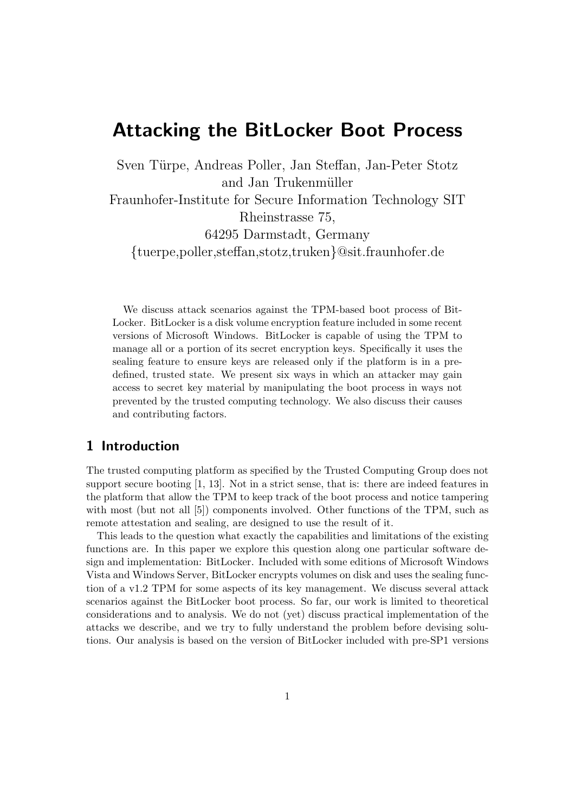# Attacking the BitLocker Boot Process

Sven Türpe, Andreas Poller, Jan Steffan, Jan-Peter Stotz and Jan Trukenmüller Fraunhofer-Institute for Secure Information Technology SIT Rheinstrasse 75, 64295 Darmstadt, Germany {tuerpe,poller,steffan,stotz,truken}@sit.fraunhofer.de

We discuss attack scenarios against the TPM-based boot process of Bit-Locker. BitLocker is a disk volume encryption feature included in some recent versions of Microsoft Windows. BitLocker is capable of using the TPM to manage all or a portion of its secret encryption keys. Specifically it uses the sealing feature to ensure keys are released only if the platform is in a predefined, trusted state. We present six ways in which an attacker may gain access to secret key material by manipulating the boot process in ways not prevented by the trusted computing technology. We also discuss their causes and contributing factors.

### 1 Introduction

The trusted computing platform as specified by the Trusted Computing Group does not support secure booting [1, 13]. Not in a strict sense, that is: there are indeed features in the platform that allow the TPM to keep track of the boot process and notice tampering with most (but not all [5]) components involved. Other functions of the TPM, such as remote attestation and sealing, are designed to use the result of it.

This leads to the question what exactly the capabilities and limitations of the existing functions are. In this paper we explore this question along one particular software design and implementation: BitLocker. Included with some editions of Microsoft Windows Vista and Windows Server, BitLocker encrypts volumes on disk and uses the sealing function of a v1.2 TPM for some aspects of its key management. We discuss several attack scenarios against the BitLocker boot process. So far, our work is limited to theoretical considerations and to analysis. We do not (yet) discuss practical implementation of the attacks we describe, and we try to fully understand the problem before devising solutions. Our analysis is based on the version of BitLocker included with pre-SP1 versions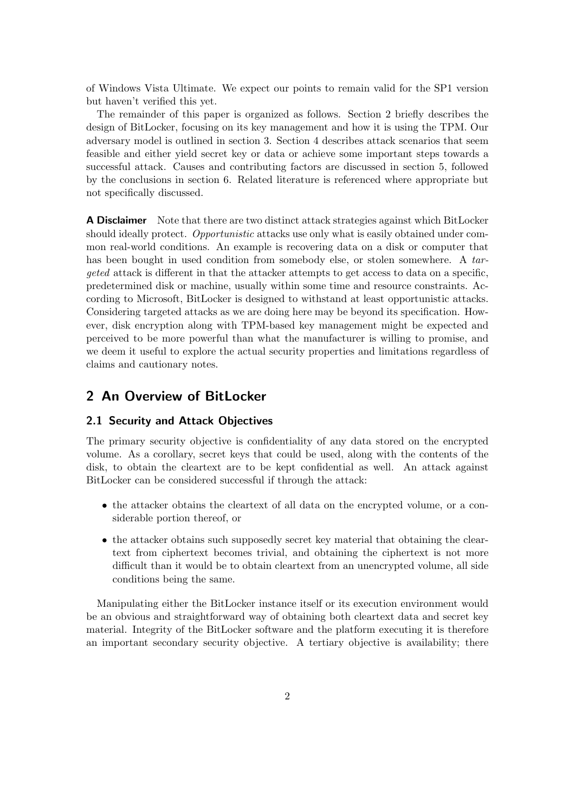of Windows Vista Ultimate. We expect our points to remain valid for the SP1 version but haven't verified this yet.

The remainder of this paper is organized as follows. Section 2 briefly describes the design of BitLocker, focusing on its key management and how it is using the TPM. Our adversary model is outlined in section 3. Section 4 describes attack scenarios that seem feasible and either yield secret key or data or achieve some important steps towards a successful attack. Causes and contributing factors are discussed in section 5, followed by the conclusions in section 6. Related literature is referenced where appropriate but not specifically discussed.

A Disclaimer Note that there are two distinct attack strategies against which BitLocker should ideally protect. Opportunistic attacks use only what is easily obtained under common real-world conditions. An example is recovering data on a disk or computer that has been bought in used condition from somebody else, or stolen somewhere. A targeted attack is different in that the attacker attempts to get access to data on a specific, predetermined disk or machine, usually within some time and resource constraints. According to Microsoft, BitLocker is designed to withstand at least opportunistic attacks. Considering targeted attacks as we are doing here may be beyond its specification. However, disk encryption along with TPM-based key management might be expected and perceived to be more powerful than what the manufacturer is willing to promise, and we deem it useful to explore the actual security properties and limitations regardless of claims and cautionary notes.

# 2 An Overview of BitLocker

#### 2.1 Security and Attack Objectives

The primary security objective is confidentiality of any data stored on the encrypted volume. As a corollary, secret keys that could be used, along with the contents of the disk, to obtain the cleartext are to be kept confidential as well. An attack against BitLocker can be considered successful if through the attack:

- the attacker obtains the cleartext of all data on the encrypted volume, or a considerable portion thereof, or
- the attacker obtains such supposedly secret key material that obtaining the cleartext from ciphertext becomes trivial, and obtaining the ciphertext is not more difficult than it would be to obtain cleartext from an unencrypted volume, all side conditions being the same.

Manipulating either the BitLocker instance itself or its execution environment would be an obvious and straightforward way of obtaining both cleartext data and secret key material. Integrity of the BitLocker software and the platform executing it is therefore an important secondary security objective. A tertiary objective is availability; there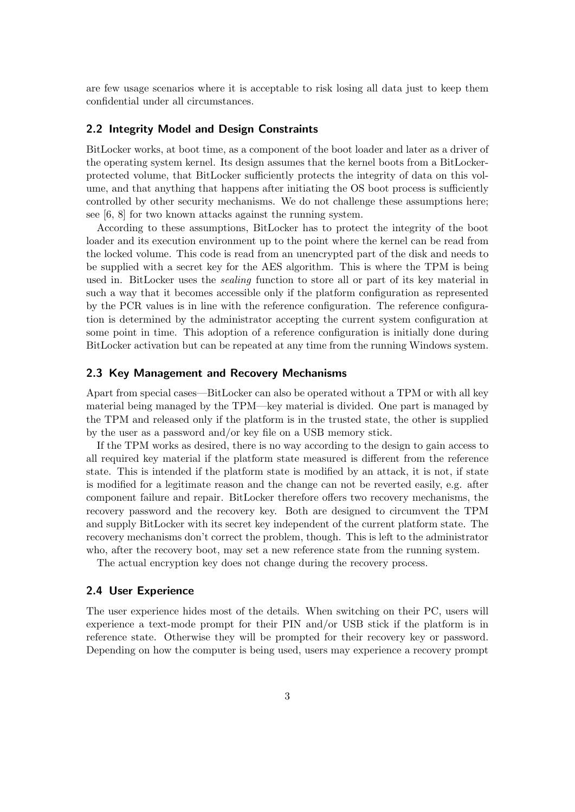are few usage scenarios where it is acceptable to risk losing all data just to keep them confidential under all circumstances.

#### 2.2 Integrity Model and Design Constraints

BitLocker works, at boot time, as a component of the boot loader and later as a driver of the operating system kernel. Its design assumes that the kernel boots from a BitLockerprotected volume, that BitLocker sufficiently protects the integrity of data on this volume, and that anything that happens after initiating the OS boot process is sufficiently controlled by other security mechanisms. We do not challenge these assumptions here; see [6, 8] for two known attacks against the running system.

According to these assumptions, BitLocker has to protect the integrity of the boot loader and its execution environment up to the point where the kernel can be read from the locked volume. This code is read from an unencrypted part of the disk and needs to be supplied with a secret key for the AES algorithm. This is where the TPM is being used in. BitLocker uses the *sealing* function to store all or part of its key material in such a way that it becomes accessible only if the platform configuration as represented by the PCR values is in line with the reference configuration. The reference configuration is determined by the administrator accepting the current system configuration at some point in time. This adoption of a reference configuration is initially done during BitLocker activation but can be repeated at any time from the running Windows system.

#### 2.3 Key Management and Recovery Mechanisms

Apart from special cases—BitLocker can also be operated without a TPM or with all key material being managed by the TPM—key material is divided. One part is managed by the TPM and released only if the platform is in the trusted state, the other is supplied by the user as a password and/or key file on a USB memory stick.

If the TPM works as desired, there is no way according to the design to gain access to all required key material if the platform state measured is different from the reference state. This is intended if the platform state is modified by an attack, it is not, if state is modified for a legitimate reason and the change can not be reverted easily, e.g. after component failure and repair. BitLocker therefore offers two recovery mechanisms, the recovery password and the recovery key. Both are designed to circumvent the TPM and supply BitLocker with its secret key independent of the current platform state. The recovery mechanisms don't correct the problem, though. This is left to the administrator who, after the recovery boot, may set a new reference state from the running system.

The actual encryption key does not change during the recovery process.

#### 2.4 User Experience

The user experience hides most of the details. When switching on their PC, users will experience a text-mode prompt for their PIN and/or USB stick if the platform is in reference state. Otherwise they will be prompted for their recovery key or password. Depending on how the computer is being used, users may experience a recovery prompt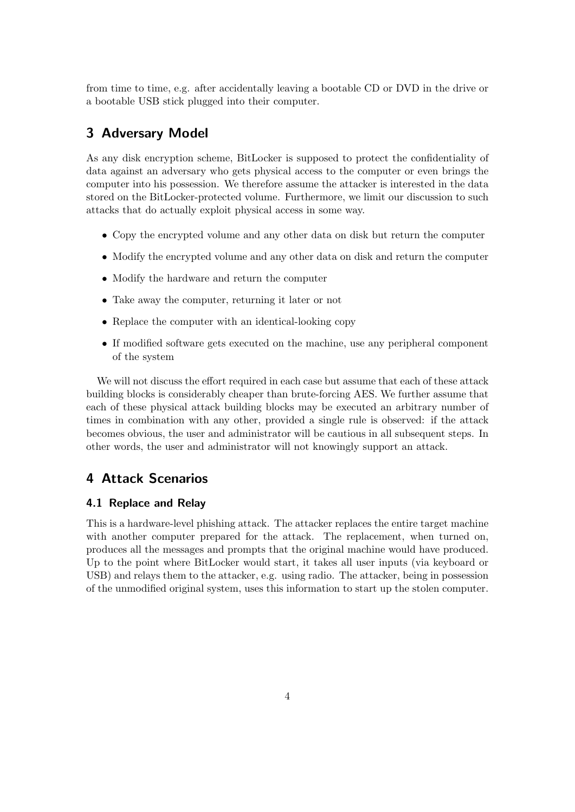from time to time, e.g. after accidentally leaving a bootable CD or DVD in the drive or a bootable USB stick plugged into their computer.

# 3 Adversary Model

As any disk encryption scheme, BitLocker is supposed to protect the confidentiality of data against an adversary who gets physical access to the computer or even brings the computer into his possession. We therefore assume the attacker is interested in the data stored on the BitLocker-protected volume. Furthermore, we limit our discussion to such attacks that do actually exploit physical access in some way.

- Copy the encrypted volume and any other data on disk but return the computer
- Modify the encrypted volume and any other data on disk and return the computer
- Modify the hardware and return the computer
- Take away the computer, returning it later or not
- Replace the computer with an identical-looking copy
- If modified software gets executed on the machine, use any peripheral component of the system

We will not discuss the effort required in each case but assume that each of these attack building blocks is considerably cheaper than brute-forcing AES. We further assume that each of these physical attack building blocks may be executed an arbitrary number of times in combination with any other, provided a single rule is observed: if the attack becomes obvious, the user and administrator will be cautious in all subsequent steps. In other words, the user and administrator will not knowingly support an attack.

# 4 Attack Scenarios

#### 4.1 Replace and Relay

This is a hardware-level phishing attack. The attacker replaces the entire target machine with another computer prepared for the attack. The replacement, when turned on, produces all the messages and prompts that the original machine would have produced. Up to the point where BitLocker would start, it takes all user inputs (via keyboard or USB) and relays them to the attacker, e.g. using radio. The attacker, being in possession of the unmodified original system, uses this information to start up the stolen computer.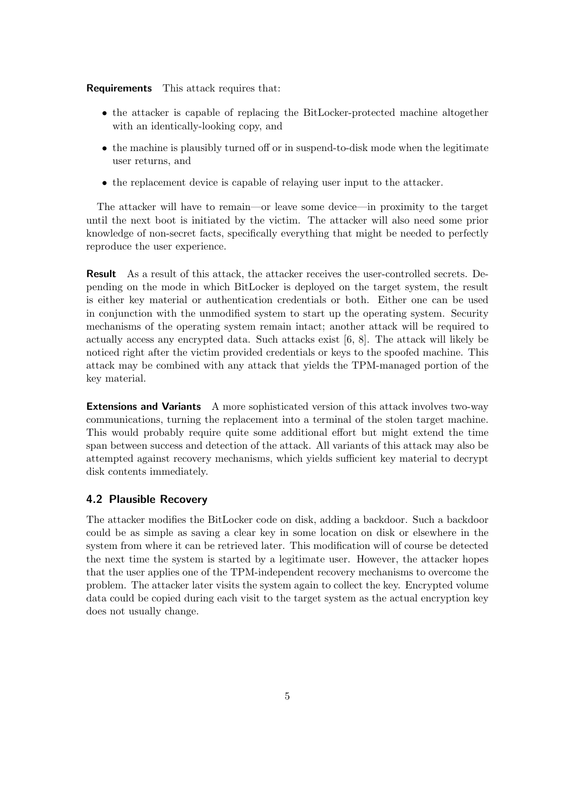Requirements This attack requires that:

- the attacker is capable of replacing the BitLocker-protected machine altogether with an identically-looking copy, and
- the machine is plausibly turned off or in suspend-to-disk mode when the legitimate user returns, and
- the replacement device is capable of relaying user input to the attacker.

The attacker will have to remain—or leave some device—in proximity to the target until the next boot is initiated by the victim. The attacker will also need some prior knowledge of non-secret facts, specifically everything that might be needed to perfectly reproduce the user experience.

Result As a result of this attack, the attacker receives the user-controlled secrets. Depending on the mode in which BitLocker is deployed on the target system, the result is either key material or authentication credentials or both. Either one can be used in conjunction with the unmodified system to start up the operating system. Security mechanisms of the operating system remain intact; another attack will be required to actually access any encrypted data. Such attacks exist [6, 8]. The attack will likely be noticed right after the victim provided credentials or keys to the spoofed machine. This attack may be combined with any attack that yields the TPM-managed portion of the key material.

Extensions and Variants A more sophisticated version of this attack involves two-way communications, turning the replacement into a terminal of the stolen target machine. This would probably require quite some additional effort but might extend the time span between success and detection of the attack. All variants of this attack may also be attempted against recovery mechanisms, which yields sufficient key material to decrypt disk contents immediately.

#### 4.2 Plausible Recovery

The attacker modifies the BitLocker code on disk, adding a backdoor. Such a backdoor could be as simple as saving a clear key in some location on disk or elsewhere in the system from where it can be retrieved later. This modification will of course be detected the next time the system is started by a legitimate user. However, the attacker hopes that the user applies one of the TPM-independent recovery mechanisms to overcome the problem. The attacker later visits the system again to collect the key. Encrypted volume data could be copied during each visit to the target system as the actual encryption key does not usually change.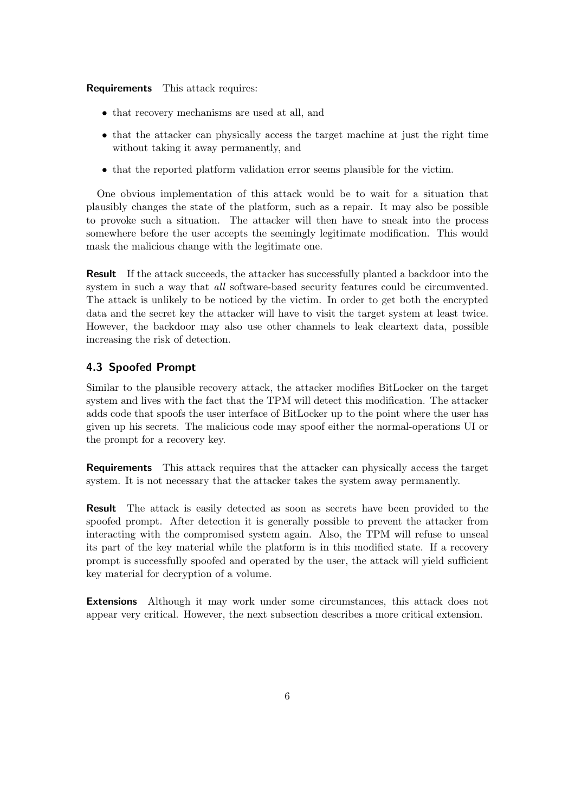Requirements This attack requires:

- that recovery mechanisms are used at all, and
- that the attacker can physically access the target machine at just the right time without taking it away permanently, and
- that the reported platform validation error seems plausible for the victim.

One obvious implementation of this attack would be to wait for a situation that plausibly changes the state of the platform, such as a repair. It may also be possible to provoke such a situation. The attacker will then have to sneak into the process somewhere before the user accepts the seemingly legitimate modification. This would mask the malicious change with the legitimate one.

Result If the attack succeeds, the attacker has successfully planted a backdoor into the system in such a way that *all* software-based security features could be circumvented. The attack is unlikely to be noticed by the victim. In order to get both the encrypted data and the secret key the attacker will have to visit the target system at least twice. However, the backdoor may also use other channels to leak cleartext data, possible increasing the risk of detection.

#### 4.3 Spoofed Prompt

Similar to the plausible recovery attack, the attacker modifies BitLocker on the target system and lives with the fact that the TPM will detect this modification. The attacker adds code that spoofs the user interface of BitLocker up to the point where the user has given up his secrets. The malicious code may spoof either the normal-operations UI or the prompt for a recovery key.

Requirements This attack requires that the attacker can physically access the target system. It is not necessary that the attacker takes the system away permanently.

Result The attack is easily detected as soon as secrets have been provided to the spoofed prompt. After detection it is generally possible to prevent the attacker from interacting with the compromised system again. Also, the TPM will refuse to unseal its part of the key material while the platform is in this modified state. If a recovery prompt is successfully spoofed and operated by the user, the attack will yield sufficient key material for decryption of a volume.

Extensions Although it may work under some circumstances, this attack does not appear very critical. However, the next subsection describes a more critical extension.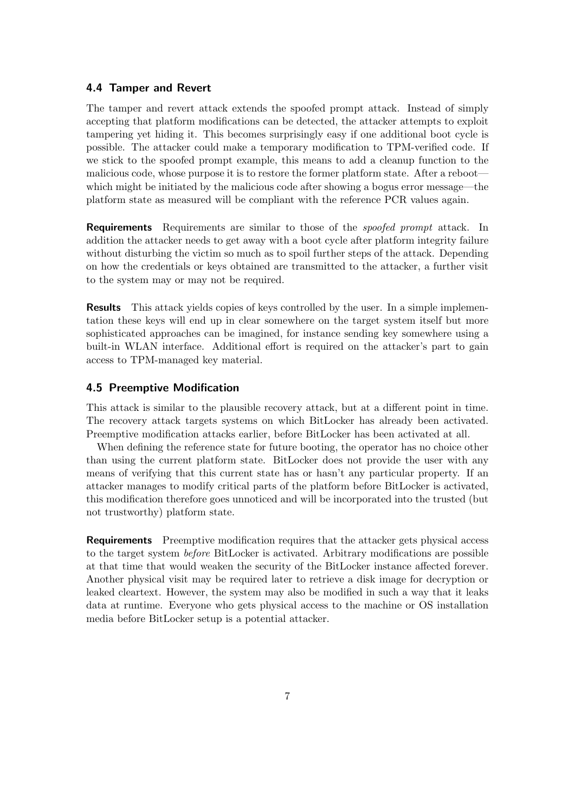#### 4.4 Tamper and Revert

The tamper and revert attack extends the spoofed prompt attack. Instead of simply accepting that platform modifications can be detected, the attacker attempts to exploit tampering yet hiding it. This becomes surprisingly easy if one additional boot cycle is possible. The attacker could make a temporary modification to TPM-verified code. If we stick to the spoofed prompt example, this means to add a cleanup function to the malicious code, whose purpose it is to restore the former platform state. After a reboot which might be initiated by the malicious code after showing a bogus error message—the platform state as measured will be compliant with the reference PCR values again.

**Requirements** Requirements are similar to those of the *spoofed prompt* attack. In addition the attacker needs to get away with a boot cycle after platform integrity failure without disturbing the victim so much as to spoil further steps of the attack. Depending on how the credentials or keys obtained are transmitted to the attacker, a further visit to the system may or may not be required.

**Results** This attack yields copies of keys controlled by the user. In a simple implementation these keys will end up in clear somewhere on the target system itself but more sophisticated approaches can be imagined, for instance sending key somewhere using a built-in WLAN interface. Additional effort is required on the attacker's part to gain access to TPM-managed key material.

#### 4.5 Preemptive Modification

This attack is similar to the plausible recovery attack, but at a different point in time. The recovery attack targets systems on which BitLocker has already been activated. Preemptive modification attacks earlier, before BitLocker has been activated at all.

When defining the reference state for future booting, the operator has no choice other than using the current platform state. BitLocker does not provide the user with any means of verifying that this current state has or hasn't any particular property. If an attacker manages to modify critical parts of the platform before BitLocker is activated, this modification therefore goes unnoticed and will be incorporated into the trusted (but not trustworthy) platform state.

Requirements Preemptive modification requires that the attacker gets physical access to the target system before BitLocker is activated. Arbitrary modifications are possible at that time that would weaken the security of the BitLocker instance affected forever. Another physical visit may be required later to retrieve a disk image for decryption or leaked cleartext. However, the system may also be modified in such a way that it leaks data at runtime. Everyone who gets physical access to the machine or OS installation media before BitLocker setup is a potential attacker.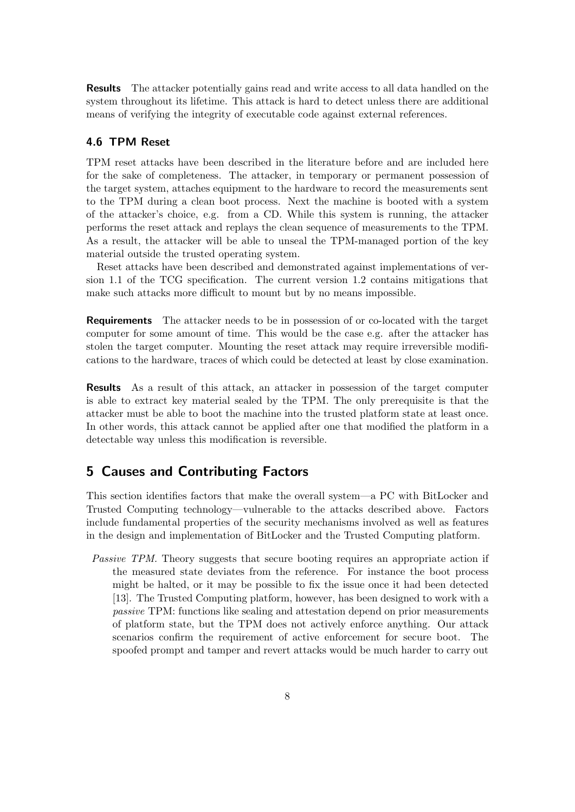Results The attacker potentially gains read and write access to all data handled on the system throughout its lifetime. This attack is hard to detect unless there are additional means of verifying the integrity of executable code against external references.

### 4.6 TPM Reset

TPM reset attacks have been described in the literature before and are included here for the sake of completeness. The attacker, in temporary or permanent possession of the target system, attaches equipment to the hardware to record the measurements sent to the TPM during a clean boot process. Next the machine is booted with a system of the attacker's choice, e.g. from a CD. While this system is running, the attacker performs the reset attack and replays the clean sequence of measurements to the TPM. As a result, the attacker will be able to unseal the TPM-managed portion of the key material outside the trusted operating system.

Reset attacks have been described and demonstrated against implementations of version 1.1 of the TCG specification. The current version 1.2 contains mitigations that make such attacks more difficult to mount but by no means impossible.

Requirements The attacker needs to be in possession of or co-located with the target computer for some amount of time. This would be the case e.g. after the attacker has stolen the target computer. Mounting the reset attack may require irreversible modifications to the hardware, traces of which could be detected at least by close examination.

Results As a result of this attack, an attacker in possession of the target computer is able to extract key material sealed by the TPM. The only prerequisite is that the attacker must be able to boot the machine into the trusted platform state at least once. In other words, this attack cannot be applied after one that modified the platform in a detectable way unless this modification is reversible.

# 5 Causes and Contributing Factors

This section identifies factors that make the overall system—a PC with BitLocker and Trusted Computing technology—vulnerable to the attacks described above. Factors include fundamental properties of the security mechanisms involved as well as features in the design and implementation of BitLocker and the Trusted Computing platform.

Passive TPM. Theory suggests that secure booting requires an appropriate action if the measured state deviates from the reference. For instance the boot process might be halted, or it may be possible to fix the issue once it had been detected [13]. The Trusted Computing platform, however, has been designed to work with a passive TPM: functions like sealing and attestation depend on prior measurements of platform state, but the TPM does not actively enforce anything. Our attack scenarios confirm the requirement of active enforcement for secure boot. The spoofed prompt and tamper and revert attacks would be much harder to carry out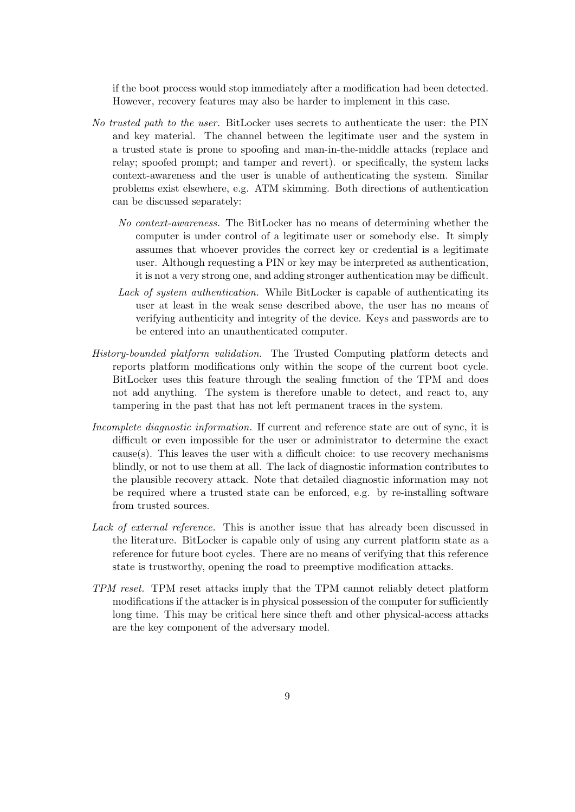if the boot process would stop immediately after a modification had been detected. However, recovery features may also be harder to implement in this case.

- No trusted path to the user. BitLocker uses secrets to authenticate the user: the PIN and key material. The channel between the legitimate user and the system in a trusted state is prone to spoofing and man-in-the-middle attacks (replace and relay; spoofed prompt; and tamper and revert). or specifically, the system lacks context-awareness and the user is unable of authenticating the system. Similar problems exist elsewhere, e.g. ATM skimming. Both directions of authentication can be discussed separately:
	- No context-awareness. The BitLocker has no means of determining whether the computer is under control of a legitimate user or somebody else. It simply assumes that whoever provides the correct key or credential is a legitimate user. Although requesting a PIN or key may be interpreted as authentication, it is not a very strong one, and adding stronger authentication may be difficult.
	- Lack of system authentication. While BitLocker is capable of authenticating its user at least in the weak sense described above, the user has no means of verifying authenticity and integrity of the device. Keys and passwords are to be entered into an unauthenticated computer.
- History-bounded platform validation. The Trusted Computing platform detects and reports platform modifications only within the scope of the current boot cycle. BitLocker uses this feature through the sealing function of the TPM and does not add anything. The system is therefore unable to detect, and react to, any tampering in the past that has not left permanent traces in the system.
- Incomplete diagnostic information. If current and reference state are out of sync, it is difficult or even impossible for the user or administrator to determine the exact cause(s). This leaves the user with a difficult choice: to use recovery mechanisms blindly, or not to use them at all. The lack of diagnostic information contributes to the plausible recovery attack. Note that detailed diagnostic information may not be required where a trusted state can be enforced, e.g. by re-installing software from trusted sources.
- Lack of external reference. This is another issue that has already been discussed in the literature. BitLocker is capable only of using any current platform state as a reference for future boot cycles. There are no means of verifying that this reference state is trustworthy, opening the road to preemptive modification attacks.
- TPM reset. TPM reset attacks imply that the TPM cannot reliably detect platform modifications if the attacker is in physical possession of the computer for sufficiently long time. This may be critical here since theft and other physical-access attacks are the key component of the adversary model.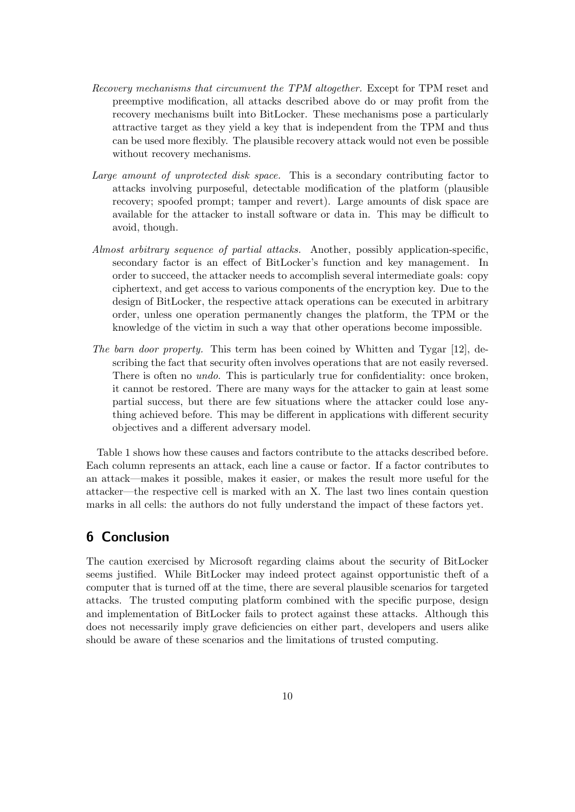- Recovery mechanisms that circumvent the TPM altogether. Except for TPM reset and preemptive modification, all attacks described above do or may profit from the recovery mechanisms built into BitLocker. These mechanisms pose a particularly attractive target as they yield a key that is independent from the TPM and thus can be used more flexibly. The plausible recovery attack would not even be possible without recovery mechanisms.
- Large amount of unprotected disk space. This is a secondary contributing factor to attacks involving purposeful, detectable modification of the platform (plausible recovery; spoofed prompt; tamper and revert). Large amounts of disk space are available for the attacker to install software or data in. This may be difficult to avoid, though.
- Almost arbitrary sequence of partial attacks. Another, possibly application-specific, secondary factor is an effect of BitLocker's function and key management. In order to succeed, the attacker needs to accomplish several intermediate goals: copy ciphertext, and get access to various components of the encryption key. Due to the design of BitLocker, the respective attack operations can be executed in arbitrary order, unless one operation permanently changes the platform, the TPM or the knowledge of the victim in such a way that other operations become impossible.
- The barn door property. This term has been coined by Whitten and Tygar [12], describing the fact that security often involves operations that are not easily reversed. There is often no *undo*. This is particularly true for confidentiality: once broken, it cannot be restored. There are many ways for the attacker to gain at least some partial success, but there are few situations where the attacker could lose anything achieved before. This may be different in applications with different security objectives and a different adversary model.

Table 1 shows how these causes and factors contribute to the attacks described before. Each column represents an attack, each line a cause or factor. If a factor contributes to an attack—makes it possible, makes it easier, or makes the result more useful for the attacker—the respective cell is marked with an X. The last two lines contain question marks in all cells: the authors do not fully understand the impact of these factors yet.

# 6 Conclusion

The caution exercised by Microsoft regarding claims about the security of BitLocker seems justified. While BitLocker may indeed protect against opportunistic theft of a computer that is turned off at the time, there are several plausible scenarios for targeted attacks. The trusted computing platform combined with the specific purpose, design and implementation of BitLocker fails to protect against these attacks. Although this does not necessarily imply grave deficiencies on either part, developers and users alike should be aware of these scenarios and the limitations of trusted computing.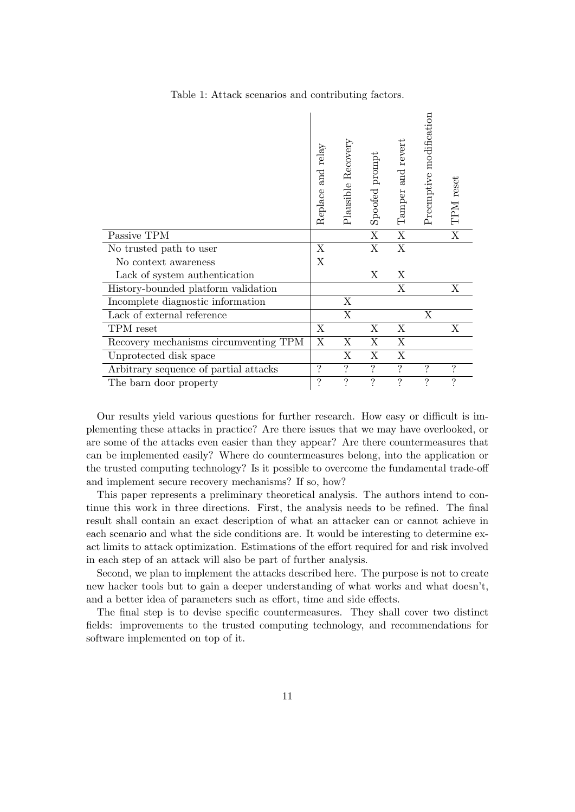Table 1: Attack scenarios and contributing factors.

|                                       | Replace and relay        | Plausible Recovery       | Spoofed prompt           | Tamper and revert        | Preemptive modification  | TPM reset             |  |
|---------------------------------------|--------------------------|--------------------------|--------------------------|--------------------------|--------------------------|-----------------------|--|
| Passive TPM                           |                          |                          | X                        | X                        |                          | $\mathbf X$           |  |
| No trusted path to user               | X                        |                          | X                        | $\mathbf X$              |                          |                       |  |
| No context awareness                  | X                        |                          |                          |                          |                          |                       |  |
| Lack of system authentication         |                          |                          | X                        | X                        |                          |                       |  |
| History-bounded platform validation   |                          |                          |                          | X                        |                          | X                     |  |
| Incomplete diagnostic information     |                          | X                        |                          |                          |                          |                       |  |
| Lack of external reference            |                          | X                        |                          |                          | X                        |                       |  |
| TPM reset                             | X                        |                          | Χ                        | X                        |                          | Χ                     |  |
| Recovery mechanisms circumventing TPM | X                        | X                        | X                        | X                        |                          |                       |  |
| Unprotected disk space                |                          | X                        | X                        | X                        |                          |                       |  |
| Arbitrary sequence of partial attacks | $\gamma$                 | ?                        | ?                        | $\boldsymbol{\eta}$      | $\gamma$                 | ?                     |  |
| The barn door property                | $\overline{\mathcal{L}}$ | $\overline{\mathcal{C}}$ | $\overline{\mathcal{L}}$ | $\overline{\mathcal{C}}$ | $\overline{\mathcal{C}}$ | $\boldsymbol{\gamma}$ |  |

Our results yield various questions for further research. How easy or difficult is implementing these attacks in practice? Are there issues that we may have overlooked, or are some of the attacks even easier than they appear? Are there countermeasures that can be implemented easily? Where do countermeasures belong, into the application or the trusted computing technology? Is it possible to overcome the fundamental trade-off and implement secure recovery mechanisms? If so, how?

This paper represents a preliminary theoretical analysis. The authors intend to continue this work in three directions. First, the analysis needs to be refined. The final result shall contain an exact description of what an attacker can or cannot achieve in each scenario and what the side conditions are. It would be interesting to determine exact limits to attack optimization. Estimations of the effort required for and risk involved in each step of an attack will also be part of further analysis.

Second, we plan to implement the attacks described here. The purpose is not to create new hacker tools but to gain a deeper understanding of what works and what doesn't, and a better idea of parameters such as effort, time and side effects.

The final step is to devise specific countermeasures. They shall cover two distinct fields: improvements to the trusted computing technology, and recommendations for software implemented on top of it.